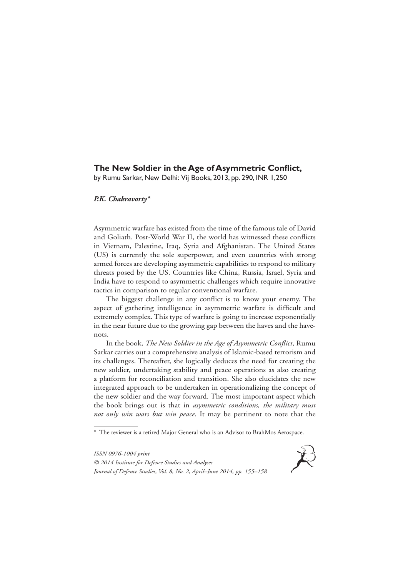## **The New Soldier in the Age of Asymmetric Conflict,**

by Rumu Sarkar, New Delhi: Vij Books, 2013, pp. 290, INR 1,250

## *P.K. Chakravorty\**

Asymmetric warfare has existed from the time of the famous tale of David and Goliath. Post-World War II, the world has witnessed these conflicts in Vietnam, Palestine, Iraq, Syria and Afghanistan. The United States (US) is currently the sole superpower, and even countries with strong armed forces are developing asymmetric capabilities to respond to military threats posed by the US. Countries like China, Russia, Israel, Syria and India have to respond to asymmetric challenges which require innovative tactics in comparison to regular conventional warfare.

The biggest challenge in any conflict is to know your enemy. The aspect of gathering intelligence in asymmetric warfare is difficult and extremely complex. This type of warfare is going to increase exponentially in the near future due to the growing gap between the haves and the havenots.

In the book, *The New Soldier in the Age of Asymmetric Conflict*, Rumu Sarkar carries out a comprehensive analysis of Islamic-based terrorism and its challenges. Thereafter, she logically deduces the need for creating the new soldier, undertaking stability and peace operations as also creating a platform for reconciliation and transition. She also elucidates the new integrated approach to be undertaken in operationalizing the concept of the new soldier and the way forward. The most important aspect which the book brings out is that in *asymmetric conditions, the military must not only win wars but win peace*. It may be pertinent to note that the

*ISSN 0976-1004 print © 2014 Institute for Defence Studies and Analyses Journal of Defence Studies, Vol. 8, No. 2, April–June 2014, pp. 155–158*



<sup>\*</sup> The reviewer is a retired Major General who is an Advisor to BrahMos Aerospace.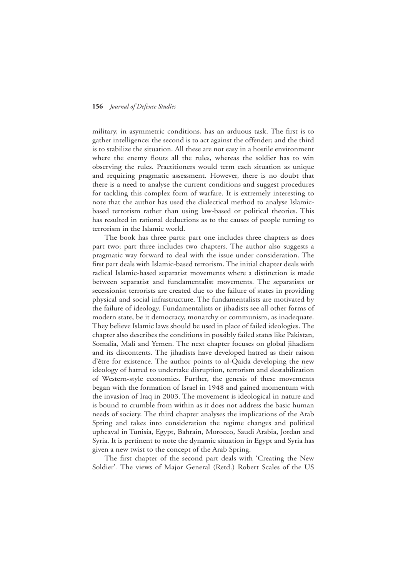## **156** *Journal of Defence Studies*

military, in asymmetric conditions, has an arduous task. The first is to gather intelligence; the second is to act against the offender; and the third is to stabilize the situation. All these are not easy in a hostile environment where the enemy flouts all the rules, whereas the soldier has to win observing the rules. Practitioners would term each situation as unique and requiring pragmatic assessment. However, there is no doubt that there is a need to analyse the current conditions and suggest procedures for tackling this complex form of warfare. It is extremely interesting to note that the author has used the dialectical method to analyse Islamicbased terrorism rather than using law-based or political theories. This has resulted in rational deductions as to the causes of people turning to terrorism in the Islamic world.

The book has three parts: part one includes three chapters as does part two; part three includes two chapters. The author also suggests a pragmatic way forward to deal with the issue under consideration. The first part deals with Islamic-based terrorism. The initial chapter deals with radical Islamic-based separatist movements where a distinction is made between separatist and fundamentalist movements. The separatists or secessionist terrorists are created due to the failure of states in providing physical and social infrastructure. The fundamentalists are motivated by the failure of ideology. Fundamentalists or jihadists see all other forms of modern state, be it democracy, monarchy or communism, as inadequate. They believe Islamic laws should be used in place of failed ideologies. The chapter also describes the conditions in possibly failed states like Pakistan, Somalia, Mali and Yemen. The next chapter focuses on global jihadism and its discontents. The jihadists have developed hatred as their raison d'être for existence. The author points to al-Qaida developing the new ideology of hatred to undertake disruption, terrorism and destabilization of Western-style economies. Further, the genesis of these movements began with the formation of Israel in 1948 and gained momentum with the invasion of Iraq in 2003. The movement is ideological in nature and is bound to crumble from within as it does not address the basic human needs of society. The third chapter analyses the implications of the Arab Spring and takes into consideration the regime changes and political upheaval in Tunisia, Egypt, Bahrain, Morocco, Saudi Arabia, Jordan and Syria. It is pertinent to note the dynamic situation in Egypt and Syria has given a new twist to the concept of the Arab Spring.

The first chapter of the second part deals with 'Creating the New Soldier'*.* The views of Major General (Retd.) Robert Scales of the US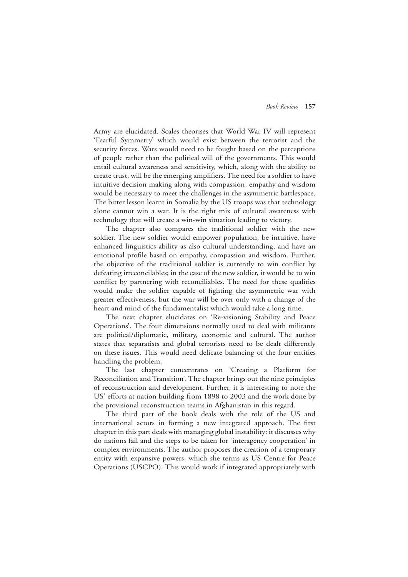Army are elucidated. Scales theorises that World War IV will represent 'Fearful Symmetry' which would exist between the terrorist and the security forces. Wars would need to be fought based on the perceptions of people rather than the political will of the governments. This would entail cultural awareness and sensitivity, which, along with the ability to create trust, will be the emerging amplifiers. The need for a soldier to have intuitive decision making along with compassion, empathy and wisdom would be necessary to meet the challenges in the asymmetric battlespace. The bitter lesson learnt in Somalia by the US troops was that technology alone cannot win a war. It is the right mix of cultural awareness with technology that will create a win-win situation leading to victory.

The chapter also compares the traditional soldier with the new soldier. The new soldier would empower population, be intuitive, have enhanced linguistics ability as also cultural understanding, and have an emotional profile based on empathy, compassion and wisdom. Further, the objective of the traditional soldier is currently to win conflict by defeating irreconcilables; in the case of the new soldier, it would be to win conflict by partnering with reconciliables. The need for these qualities would make the soldier capable of fighting the asymmetric war with greater effectiveness, but the war will be over only with a change of the heart and mind of the fundamentalist which would take a long time.

The next chapter elucidates on 'Re-visioning Stability and Peace Operations'. The four dimensions normally used to deal with militants are political/diplomatic, military, economic and cultural. The author states that separatists and global terrorists need to be dealt differently on these issues. This would need delicate balancing of the four entities handling the problem.

The last chapter concentrates on 'Creating a Platform for Reconciliation and Transition'. The chapter brings out the nine principles of reconstruction and development. Further, it is interesting to note the US' efforts at nation building from 1898 to 2003 and the work done by the provisional reconstruction teams in Afghanistan in this regard.

The third part of the book deals with the role of the US and international actors in forming a new integrated approach. The first chapter in this part deals with managing global instability: it discusses why do nations fail and the steps to be taken for 'interagency cooperation' in complex environments. The author proposes the creation of a temporary entity with expansive powers, which she terms as US Centre for Peace Operations (USCPO). This would work if integrated appropriately with